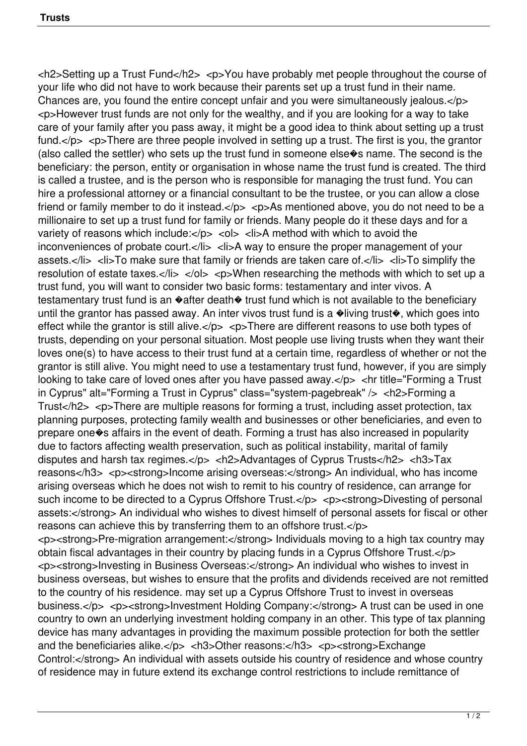<h2>Setting up a Trust Fund</h2> <p>You have probably met people throughout the course of your life who did not have to work because their parents set up a trust fund in their name. Chances are, you found the entire concept unfair and you were simultaneously jealous.</p> <p>However trust funds are not only for the wealthy, and if you are looking for a way to take care of your family after you pass away, it might be a good idea to think about setting up a trust fund. $\langle p \rangle$   $\langle p \rangle$  There are three people involved in setting up a trust. The first is you, the grantor (also called the settler) who sets up the trust fund in someone else�s name. The second is the beneficiary: the person, entity or organisation in whose name the trust fund is created. The third is called a trustee, and is the person who is responsible for managing the trust fund. You can hire a professional attorney or a financial consultant to be the trustee, or you can allow a close friend or family member to do it instead. $\langle p \rangle$   $\langle p \rangle$  As mentioned above, you do not need to be a millionaire to set up a trust fund for family or friends. Many people do it these days and for a variety of reasons which include: $\langle p \rangle$   $\langle 0 \rangle$   $\langle 1 \rangle$  and  $\langle 1 \rangle$  method with which to avoid the inconveniences of probate court.</li> <li>A way to ensure the proper management of your assets.</li> <li>To make sure that family or friends are taken care of.</li> <li>To simplify the resolution of estate taxes. $\langle$ /li $>$  $\langle$ /ol $>$  $\langle$ p $>$ When researching the methods with which to set up a trust fund, you will want to consider two basic forms: testamentary and inter vivos. A testamentary trust fund is an  $\Diamond$  after death $\Diamond$  trust fund which is not available to the beneficiary until the grantor has passed away. An inter vivos trust fund is a  $\bullet$  living trust $\bullet$ , which goes into effect while the grantor is still alive. $\langle p \rangle$   $\langle p \rangle$  There are different reasons to use both types of trusts, depending on your personal situation. Most people use living trusts when they want their loves one(s) to have access to their trust fund at a certain time, regardless of whether or not the grantor is still alive. You might need to use a testamentary trust fund, however, if you are simply looking to take care of loved ones after you have passed away. $\langle p \rangle$   $\langle h$ r title="Forming a Trust" in Cyprus" alt="Forming a Trust in Cyprus" class="system-pagebreak" /> <h2>Forming a Trust</h2> <p>There are multiple reasons for forming a trust, including asset protection, tax planning purposes, protecting family wealth and businesses or other beneficiaries, and even to prepare one�s affairs in the event of death. Forming a trust has also increased in popularity due to factors affecting wealth preservation, such as political instability, marital of family disputes and harsh tax regimes.</p> <h2>Advantages of Cyprus Trusts</h2> <h3>Tax reasons</h3> <p><strong>Income arising overseas:</strong> An individual, who has income arising overseas which he does not wish to remit to his country of residence, can arrange for such income to be directed to a Cyprus Offshore Trust.</p> <p><strong>Divesting of personal assets:</strong> An individual who wishes to divest himself of personal assets for fiscal or other reasons can achieve this by transferring them to an offshore trust.</p> <p><strong>Pre-migration arrangement:</strong> Individuals moving to a high tax country may obtain fiscal advantages in their country by placing funds in a Cyprus Offshore Trust.</p> <p><strong>Investing in Business Overseas:</strong> An individual who wishes to invest in business overseas, but wishes to ensure that the profits and dividends received are not remitted to the country of his residence. may set up a Cyprus Offshore Trust to invest in overseas business.</p> <p><strong>Investment Holding Company:</strong> A trust can be used in one country to own an underlying investment holding company in an other. This type of tax planning device has many advantages in providing the maximum possible protection for both the settler and the beneficiaries alike.</p> <h3>Other reasons:</h3> <p><strong>Exchange Control:</strong> An individual with assets outside his country of residence and whose country of residence may in future extend its exchange control restrictions to include remittance of